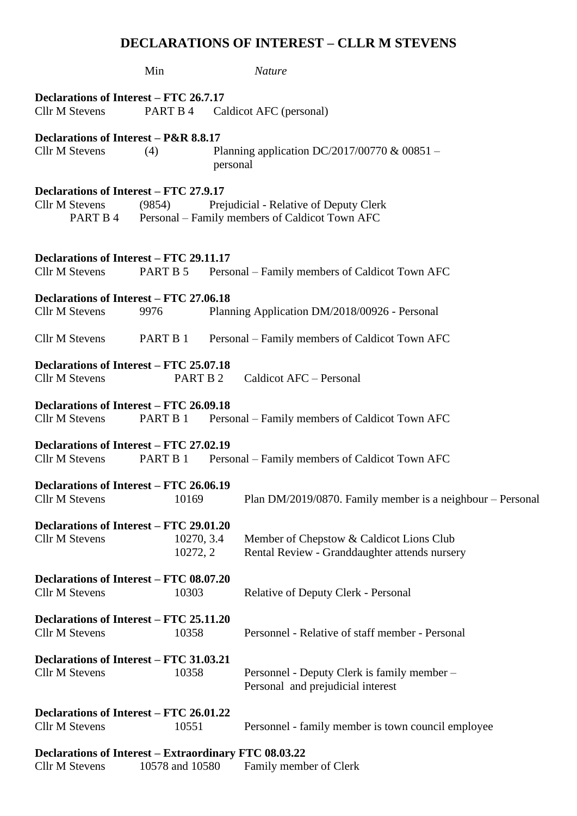## **DECLARATIONS OF INTEREST – CLLR M STEVENS**

|                                                                             | Min                                                               |                                                | <b>Nature</b>                                                                             |  |
|-----------------------------------------------------------------------------|-------------------------------------------------------------------|------------------------------------------------|-------------------------------------------------------------------------------------------|--|
| Declarations of Interest – FTC 26.7.17<br><b>Cllr M Stevens</b>             | PART B 4                                                          |                                                | Caldicot AFC (personal)                                                                   |  |
| Declarations of Interest - P&R 8.8.17<br>Cllr M Stevens<br>(4)              |                                                                   | personal                                       | Planning application DC/2017/00770 & 00851 –                                              |  |
| Declarations of Interest – FTC 27.9.17<br><b>Cllr M Stevens</b><br>PART B 4 | (9854)                                                            |                                                | Prejudicial - Relative of Deputy Clerk<br>Personal – Family members of Caldicot Town AFC  |  |
| Declarations of Interest – FTC 29.11.17<br><b>Cllr M Stevens</b>            | PART B 5                                                          |                                                | Personal – Family members of Caldicot Town AFC                                            |  |
| Declarations of Interest – FTC 27.06.18<br><b>Cllr M Stevens</b>            | 9976                                                              |                                                | Planning Application DM/2018/00926 - Personal                                             |  |
| <b>Cllr M Stevens</b>                                                       | PART B 1                                                          | Personal – Family members of Caldicot Town AFC |                                                                                           |  |
| Declarations of Interest – FTC 25.07.18<br><b>Cllr M Stevens</b>            |                                                                   | PART B 2                                       | Caldicot AFC - Personal                                                                   |  |
| Declarations of Interest – FTC 26.09.18<br><b>Cllr M Stevens</b>            | PART B 1                                                          |                                                | Personal – Family members of Caldicot Town AFC                                            |  |
| Declarations of Interest – FTC 27.02.19<br><b>Cllr M Stevens</b>            | PART B 1                                                          |                                                | Personal – Family members of Caldicot Town AFC                                            |  |
| Declarations of Interest – FTC 26.06.19<br><b>Cllr M Stevens</b>            | 10169                                                             |                                                | Plan DM/2019/0870. Family member is a neighbour – Personal                                |  |
| <b>Cllr M Stevens</b>                                                       | Declarations of Interest – FTC 29.01.20<br>10270, 3.4<br>10272, 2 |                                                | Member of Chepstow & Caldicot Lions Club<br>Rental Review - Granddaughter attends nursery |  |
| Declarations of Interest – FTC 08.07.20<br><b>Cllr M Stevens</b>            | 10303                                                             |                                                | Relative of Deputy Clerk - Personal                                                       |  |
| <b>Cllr M Stevens</b>                                                       | Declarations of Interest – FTC 25.11.20<br>10358                  |                                                | Personnel - Relative of staff member - Personal                                           |  |
| Declarations of Interest – FTC 31.03.21<br><b>Cllr M Stevens</b><br>10358   |                                                                   |                                                | Personnel - Deputy Clerk is family member –<br>Personal and prejudicial interest          |  |
| <b>Cllr M Stevens</b>                                                       | Declarations of Interest – FTC 26.01.22<br>10551                  |                                                | Personnel - family member is town council employee                                        |  |
| Declarations of Interest - Extraordinary FTC 08.03.22                       |                                                                   |                                                |                                                                                           |  |

Cllr M Stevens 10578 and 10580 Family member of Clerk